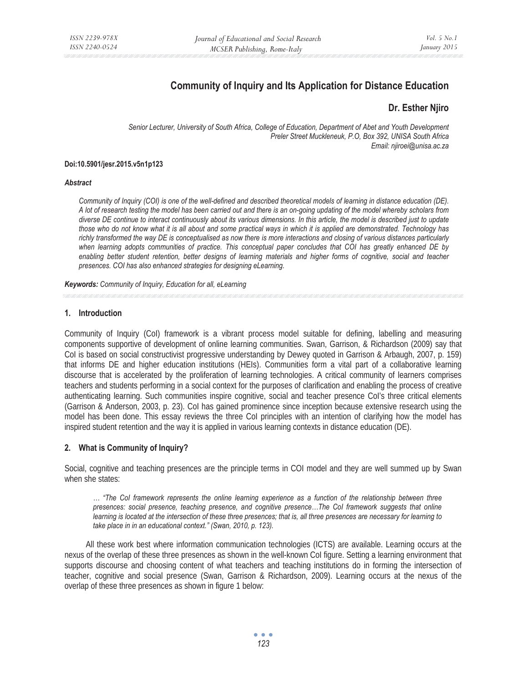# **Community of Inquiry and Its Application for Distance Education**

# **Dr. Esther Njiro**

*Senior Lecturer, University of South Africa, College of Education, Department of Abet and Youth Development Preler Street Muckleneuk, P.O, Box 392, UNISA South Africa Email: njiroei@unisa.ac.za* 

#### **Doi:10.5901/jesr.2015.v5n1p123**

#### *Abstract*

*Community of Inquiry (COI) is one of the well-defined and described theoretical models of learning in distance education (DE). A lot of research testing the model has been carried out and there is an on-going updating of the model whereby scholars from diverse DE continue to interact continuously about its various dimensions. In this article, the model is described just to update those who do not know what it is all about and some practical ways in which it is applied are demonstrated. Technology has richly transformed the way DE is conceptualised as now there is more interactions and closing of various distances particularly when learning adopts communities of practice. This conceptual paper concludes that COI has greatly enhanced DE by*  enabling better student retention, better designs of learning materials and higher forms of cognitive, social and teacher *presences. COI has also enhanced strategies for designing eLearning.* 

*Keywords: Community of Inquiry, Education for all, eLearning*

### **1. Introduction**

Community of Inquiry (CoI) framework is a vibrant process model suitable for defining, labelling and measuring components supportive of development of online learning communities. Swan, Garrison, & Richardson (2009) say that CoI is based on social constructivist progressive understanding by Dewey quoted in Garrison & Arbaugh, 2007, p. 159) that informs DE and higher education institutions (HEIs). Communities form a vital part of a collaborative learning discourse that is accelerated by the proliferation of learning technologies. A critical community of learners comprises teachers and students performing in a social context for the purposes of clarification and enabling the process of creative authenticating learning. Such communities inspire cognitive, social and teacher presence CoI's three critical elements (Garrison & Anderson, 2003, p. 23). CoI has gained prominence since inception because extensive research using the model has been done. This essay reviews the three CoI principles with an intention of clarifying how the model has inspired student retention and the way it is applied in various learning contexts in distance education (DE).

# **2. What is Community of Inquiry?**

Social, cognitive and teaching presences are the principle terms in COI model and they are well summed up by Swan when she states:

*… "The CoI framework represents the online learning experience as a function of the relationship between three presences: social presence, teaching presence, and cognitive presence…The CoI framework suggests that online learning is located at the intersection of these three presences; that is, all three presences are necessary for learning to take place in in an educational context." (Swan, 2010, p. 123).* 

All these work best where information communication technologies (ICTS) are available. Learning occurs at the nexus of the overlap of these three presences as shown in the well-known CoI figure. Setting a learning environment that supports discourse and choosing content of what teachers and teaching institutions do in forming the intersection of teacher, cognitive and social presence (Swan, Garrison & Richardson, 2009). Learning occurs at the nexus of the overlap of these three presences as shown in figure 1 below: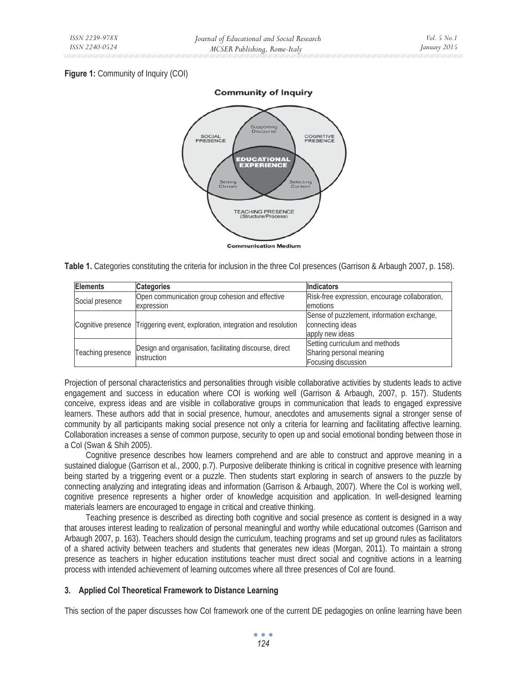# **Figure 1: Community of Inquiry (COI)**



**Table 1.** Categories constituting the criteria for inclusion in the three CoI presences (Garrison & Arbaugh 2007, p. 158).

| <b>Elements</b>   | <b>Categories</b>                                                            | <b>Indicators</b>                              |
|-------------------|------------------------------------------------------------------------------|------------------------------------------------|
| Social presence   | Open communication group cohesion and effective                              | Risk-free expression, encourage collaboration, |
|                   | expression                                                                   | emotions                                       |
|                   | Cognitive presence Triggering event, exploration, integration and resolution | Sense of puzzlement, information exchange,     |
|                   |                                                                              | connecting ideas                               |
|                   |                                                                              | apply new ideas                                |
| Teaching presence | Design and organisation, facilitating discourse, direct<br>linstruction      | Setting curriculum and methods                 |
|                   |                                                                              | Sharing personal meaning                       |
|                   |                                                                              | Focusing discussion                            |

Projection of personal characteristics and personalities through visible collaborative activities by students leads to active engagement and success in education where COI is working well (Garrison & Arbaugh, 2007, p. 157). Students conceive, express ideas and are visible in collaborative groups in communication that leads to engaged expressive learners. These authors add that in social presence, humour, anecdotes and amusements signal a stronger sense of community by all participants making social presence not only a criteria for learning and facilitating affective learning. Collaboration increases a sense of common purpose, security to open up and social emotional bonding between those in a CoI (Swan & Shih 2005).

Cognitive presence describes how learners comprehend and are able to construct and approve meaning in a sustained dialogue (Garrison et al., 2000, p.7). Purposive deliberate thinking is critical in cognitive presence with learning being started by a triggering event or a puzzle. Then students start exploring in search of answers to the puzzle by connecting analyzing and integrating ideas and information (Garrison & Arbaugh, 2007). Where the CoI is working well, cognitive presence represents a higher order of knowledge acquisition and application. In well-designed learning materials learners are encouraged to engage in critical and creative thinking.

Teaching presence is described as directing both cognitive and social presence as content is designed in a way that arouses interest leading to realization of personal meaningful and worthy while educational outcomes (Garrison and Arbaugh 2007, p. 163). Teachers should design the curriculum, teaching programs and set up ground rules as facilitators of a shared activity between teachers and students that generates new ideas (Morgan, 2011). To maintain a strong presence as teachers in higher education institutions teacher must direct social and cognitive actions in a learning process with intended achievement of learning outcomes where all three presences of CoI are found.

### **3. Applied Col Theoretical Framework to Distance Learning**

This section of the paper discusses how CoI framework one of the current DE pedagogies on online learning have been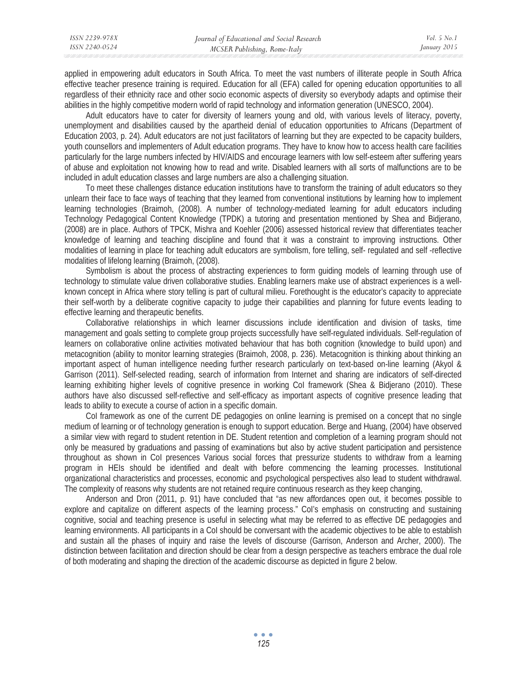| ISSN 2239-978X | Journal of Educational and Social Research | Vol. 5 No. 1 |
|----------------|--------------------------------------------|--------------|
| ISSN 2240-0524 | MCSER Publishing, Rome-Italy               | January 2015 |

applied in empowering adult educators in South Africa. To meet the vast numbers of illiterate people in South Africa effective teacher presence training is required. Education for all (EFA) called for opening education opportunities to all regardless of their ethnicity race and other socio economic aspects of diversity so everybody adapts and optimise their abilities in the highly competitive modern world of rapid technology and information generation (UNESCO, 2004).

Adult educators have to cater for diversity of learners young and old, with various levels of literacy, poverty, unemployment and disabilities caused by the apartheid denial of education opportunities to Africans (Department of Education 2003, p. 24). Adult educators are not just facilitators of learning but they are expected to be capacity builders, youth counsellors and implementers of Adult education programs. They have to know how to access health care facilities particularly for the large numbers infected by HIV/AIDS and encourage learners with low self-esteem after suffering years of abuse and exploitation not knowing how to read and write. Disabled learners with all sorts of malfunctions are to be included in adult education classes and large numbers are also a challenging situation.

To meet these challenges distance education institutions have to transform the training of adult educators so they unlearn their face to face ways of teaching that they learned from conventional institutions by learning how to implement learning technologies (Braimoh, (2008). A number of technology-mediated learning for adult educators including Technology Pedagogical Content Knowledge (TPDK) a tutoring and presentation mentioned by Shea and Bidjerano, (2008) are in place. Authors of TPCK, Mishra and Koehler (2006) assessed historical review that differentiates teacher knowledge of learning and teaching discipline and found that it was a constraint to improving instructions. Other modalities of learning in place for teaching adult educators are symbolism, fore telling, self- regulated and self -reflective modalities of lifelong learning (Braimoh, (2008).

Symbolism is about the process of abstracting experiences to form guiding models of learning through use of technology to stimulate value driven collaborative studies. Enabling learners make use of abstract experiences is a wellknown concept in Africa where story telling is part of cultural milieu. Forethought is the educator's capacity to appreciate their self-worth by a deliberate cognitive capacity to judge their capabilities and planning for future events leading to effective learning and therapeutic benefits.

Collaborative relationships in which learner discussions include identification and division of tasks, time management and goals setting to complete group projects successfully have self-regulated individuals. Self-regulation of learners on collaborative online activities motivated behaviour that has both cognition (knowledge to build upon) and metacognition (ability to monitor learning strategies (Braimoh, 2008, p. 236). Metacognition is thinking about thinking an important aspect of human intelligence needing further research particularly on text-based on-line learning (Akyol & Garrison (2011). Self-selected reading, search of information from Internet and sharing are indicators of self-directed learning exhibiting higher levels of cognitive presence in working CoI framework (Shea & Bidjerano (2010). These authors have also discussed self-reflective and self-efficacy as important aspects of cognitive presence leading that leads to ability to execute a course of action in a specific domain.

CoI framework as one of the current DE pedagogies on online learning is premised on a concept that no single medium of learning or of technology generation is enough to support education. Berge and Huang, (2004) have observed a similar view with regard to student retention in DE. Student retention and completion of a learning program should not only be measured by graduations and passing of examinations but also by active student participation and persistence throughout as shown in CoI presences Various social forces that pressurize students to withdraw from a learning program in HEIs should be identified and dealt with before commencing the learning processes. Institutional organizational characteristics and processes, economic and psychological perspectives also lead to student withdrawal. The complexity of reasons why students are not retained require continuous research as they keep changing,

Anderson and Dron (2011, p. 91) have concluded that "as new affordances open out, it becomes possible to explore and capitalize on different aspects of the learning process." CoI's emphasis on constructing and sustaining cognitive, social and teaching presence is useful in selecting what may be referred to as effective DE pedagogies and learning environments. All participants in a CoI should be conversant with the academic objectives to be able to establish and sustain all the phases of inquiry and raise the levels of discourse (Garrison, Anderson and Archer, 2000). The distinction between facilitation and direction should be clear from a design perspective as teachers embrace the dual role of both moderating and shaping the direction of the academic discourse as depicted in figure 2 below.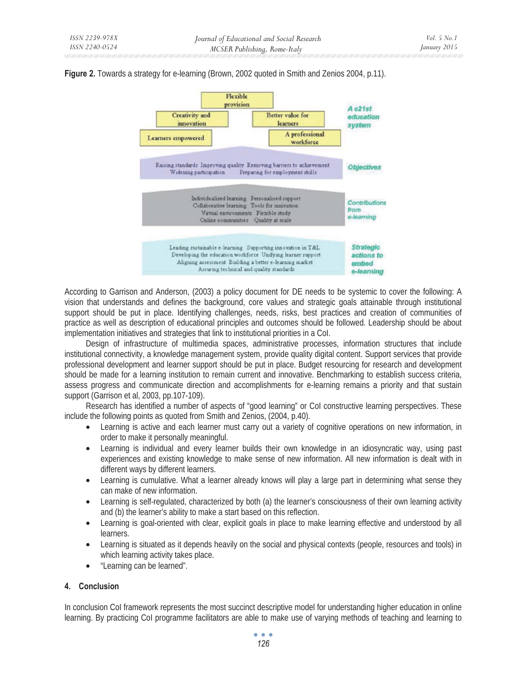



According to Garrison and Anderson, (2003) a policy document for DE needs to be systemic to cover the following: A vision that understands and defines the background, core values and strategic goals attainable through institutional support should be put in place. Identifying challenges, needs, risks, best practices and creation of communities of practice as well as description of educational principles and outcomes should be followed. Leadership should be about implementation initiatives and strategies that link to institutional priorities in a CoI.

Design of infrastructure of multimedia spaces, administrative processes, information structures that include institutional connectivity, a knowledge management system, provide quality digital content. Support services that provide professional development and learner support should be put in place. Budget resourcing for research and development should be made for a learning institution to remain current and innovative. Benchmarking to establish success criteria, assess progress and communicate direction and accomplishments for e-learning remains a priority and that sustain support (Garrison et al, 2003, pp.107-109).

Research has identified a number of aspects of "good learning" or CoI constructive learning perspectives. These include the following points as quoted from Smith and Zenios, (2004, p.40).

- Learning is active and each learner must carry out a variety of cognitive operations on new information, in order to make it personally meaningful.
- Learning is individual and every learner builds their own knowledge in an idiosyncratic way, using past experiences and existing knowledge to make sense of new information. All new information is dealt with in different ways by different learners.
- Learning is cumulative. What a learner already knows will play a large part in determining what sense they can make of new information.
- Learning is self-regulated, characterized by both (a) the learner's consciousness of their own learning activity and (b) the learner's ability to make a start based on this reflection.
- Learning is goal-oriented with clear, explicit goals in place to make learning effective and understood by all learners.
- Learning is situated as it depends heavily on the social and physical contexts (people, resources and tools) in which learning activity takes place.
- "Learning can be learned".

### **4. Conclusion**

In conclusion CoI framework represents the most succinct descriptive model for understanding higher education in online learning. By practicing CoI programme facilitators are able to make use of varying methods of teaching and learning to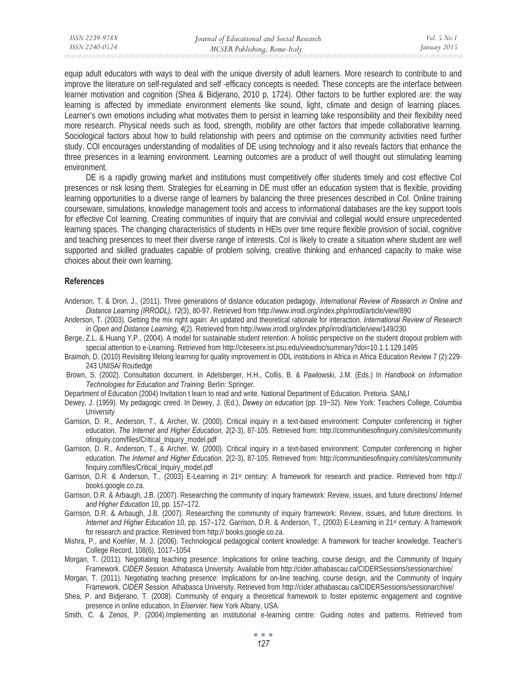equip adult educators with ways to deal with the unique diversity of adult learners. More research to contribute to and improve the literature on self-regulated and self -efficacy concepts is needed. These concepts are the interface between learner motivation and cognition (Shea & Bidjerano, 2010 p, 1724). Other factors to be further explored are: the way learning is affected by immediate environment elements like sound, light, climate and design of learning places. Learner's own emotions including what motivates them to persist in learning take responsibility and their flexibility need more research. Physical needs such as food, strength, mobility are other factors that impede collaborative learning. Sociological factors about how to build relationship with peers and optimise on the community activities need further study. COI encourages understanding of modalities of DE using technology and it also reveals factors that enhance the three presences in a learning environment. Learning outcomes are a product of well thought out stimulating learning environment.

DE is a rapidly growing market and institutions must competitively offer students timely and cost effective CoI presences or risk losing them. Strategies for eLearning in DE must offer an education system that is flexible, providing learning opportunities to a diverse range of learners by balancing the three presences described in CoI. Online training courseware, simulations, knowledge management tools and access to informational databases are the key support tools for effective CoI learning. Creating communities of inquiry that are convivial and collegial would ensure unprecedented learning spaces. The changing characteristics of students in HEIs over time require flexible provision of social, cognitive and teaching presences to meet their diverse range of interests. Col is likely to create a situation where student are well supported and skilled graduates capable of problem solving, creative thinking and enhanced capacity to make wise choices about their own learning.

#### **References**

- Anderson, T. & Dron, J., (2011). Three generations of distance education pedagogy. *International Review of Research in Online and Distance Learning (IRRODL), 12*(3), 80-97. Retrieved from http://www.irrodl.org/index.php/irrodl/article/view/890
- Anderson, T. (2003). Getting the mix right again: An updated and theoretical rationale for interaction*. International Review of Research in Open and Distance Learning, 4*(2). Retrieved from http://www.irrodl.org/index.php/irrodl/article/view/149/230
- Berge, Z.L. & Huang Y.P., (2004). A model for sustainable student retention: A holistic perspective on the student dropout problem with special attention to e-Learning. Retrieved from http://citeseerx.ist.psu.edu/viewdoc/summary?doi=10.1.1.129.1495
- Braimoh, D. (2010) Revisiting lifelong learning for quality improvement in ODL institutions in Africa in Africa Education Review 7 (2):229-243 UNISA/ Routledge
- Brown, S. (2002). Consultation document. In Adelsberger, H.H., Collis, B. & Pawlowski, J.M. (Eds.) In *Handbook on Information Technologies for Education and Training*. Berlin: Springer.
- Department of Education (2004) Invitation t learn to read and write. National Department of Education. Pretoria. SANLI
- Dewey, J. (1959). My pedagogic creed. In Dewey, J. (Ed.), *Dewey on education* (pp. 19-32). New York: Teachers College, Columbia **University**
- Garrison, D. R., Anderson, T., & Archer, W. (2000). Critical inquiry in a text-based environment: Computer conferencing in higher education. *The Internet and Higher Education, 2*(2-3), 87-105. Retrieved from: http://communitiesofinquiry.com/sites/community ofinquiry.com/files/Critical\_Inquiry\_model.pdf
- Garrison, D. R., Anderson, T., & Archer, W. (2000). Critical inquiry in a text-based environment: Computer conferencing in higher education. *The Internet and Higher Education, 2*(2-3), 87-105. Retrieved from: http://communitiesofinquiry.com/sites/community finquiry.com/files/Critical\_Inquiry\_model.pdf
- Garrison, D.R. & Anderson, T., (2003) E-Learning in 21st century: A framework for research and practice. Retrieved from http:// books.google.co.za.
- Garrison, D.R. & Arbaugh, J.B. (2007). Researching the community of inquiry framework: Review, issues, and future directions/ *Internet and Higher Education* 10, pp. 157–172.
- Garrison, D.R. & Arbaugh, J.B. (2007). Researching the community of inquiry framework: Review, issues, and future directions. In *Internet and Higher Education* 10, pp. 157–172. Garrison, D.R. & Anderson, T., (2003) E-Learning in 21<sup>st</sup> century: A framework for research and practice. Retrieved from http:// books.google.co.za.
- Mishra, P., and Koehler, M. J. (2006). Technological pedagogical content knowledge: A framework for teacher knowledge. Teacher's College Record, 108(6), 1017–1054
- Morgan, T. (2011). Negotiating teaching presence: Implications for online teaching, course design, and the Community of Inquiry Framework. *CIDER Session*. Athabasca University. Available from http://cider.athabascau.ca/CIDERSessions/sessionarchive/
- Morgan, T. (2011). Negotiating teaching presence: Implications for on-line teaching, course design, and the Community of Inquiry Framework. *CIDER Session*. Athabasca University. Retrieved from http://cider.athabascau.ca/CIDERSessions/sessionarchive/
- Shea, P. and Bidjerano, T. (2008). Community of enquiry a theoretical framework to foster epistemic engagement and cognitive presence in online education. In *Elservier.* New York Albany, USA.
- Smith, C. & Zenos, P. (2004).Implementing an institutional e-learning centre: Guiding notes and patterns. Retrieved from